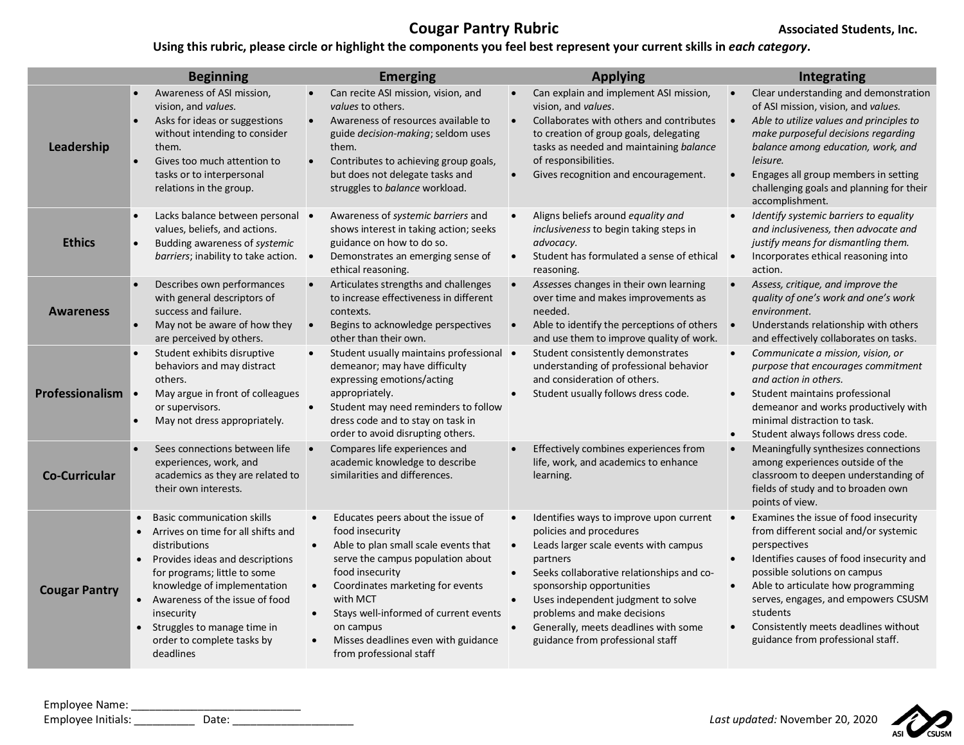## **Cougar Pantry Rubric Cougar Pantry Rubric Associated Students, Inc.**

## **Using this rubric, please circle or highlight the components you feel best represent your current skills in** *each category***.**

|                      | <b>Beginning</b>                                                                                                                                                                                                                                                                                                                  | <b>Emerging</b>                                                                                                                                                                                                                                                                                                                                                     | <b>Applying</b>                                                                                                                                                                                                                                                                                                                                                                                                     | Integrating                                                                                                                                                                                                                                                                                                                                                                             |
|----------------------|-----------------------------------------------------------------------------------------------------------------------------------------------------------------------------------------------------------------------------------------------------------------------------------------------------------------------------------|---------------------------------------------------------------------------------------------------------------------------------------------------------------------------------------------------------------------------------------------------------------------------------------------------------------------------------------------------------------------|---------------------------------------------------------------------------------------------------------------------------------------------------------------------------------------------------------------------------------------------------------------------------------------------------------------------------------------------------------------------------------------------------------------------|-----------------------------------------------------------------------------------------------------------------------------------------------------------------------------------------------------------------------------------------------------------------------------------------------------------------------------------------------------------------------------------------|
| Leadership           | Awareness of ASI mission,<br>vision, and values.<br>Asks for ideas or suggestions<br>$\bullet$<br>without intending to consider<br>them.<br>Gives too much attention to<br>tasks or to interpersonal<br>relations in the group.                                                                                                   | Can recite ASI mission, vision, and<br>values to others.<br>Awareness of resources available to<br>$\bullet$<br>guide decision-making; seldom uses<br>them.<br>Contributes to achieving group goals,<br>$\bullet$<br>but does not delegate tasks and<br>struggles to balance workload.                                                                              | Can explain and implement ASI mission,<br>vision, and values.<br>Collaborates with others and contributes<br>$\bullet$<br>to creation of group goals, delegating<br>tasks as needed and maintaining balance<br>of responsibilities.<br>Gives recognition and encouragement.                                                                                                                                         | Clear understanding and demonstration<br>of ASI mission, vision, and values.<br>Able to utilize values and principles to<br>$\bullet$<br>make purposeful decisions regarding<br>balance among education, work, and<br>leisure.<br>Engages all group members in setting<br>challenging goals and planning for their<br>accomplishment.                                                   |
| <b>Ethics</b>        | Lacks balance between personal •<br>values, beliefs, and actions.<br>Budding awareness of systemic<br>$\bullet$<br>barriers; inability to take action. •                                                                                                                                                                          | Awareness of systemic barriers and<br>shows interest in taking action; seeks<br>guidance on how to do so.<br>Demonstrates an emerging sense of<br>ethical reasoning.                                                                                                                                                                                                | Aligns beliefs around equality and<br><i>inclusiveness</i> to begin taking steps in<br>advocacy.<br>Student has formulated a sense of ethical<br>$\bullet$<br>reasoning.                                                                                                                                                                                                                                            | Identify systemic barriers to equality<br>and inclusiveness, then advocate and<br>justify means for dismantling them.<br>Incorporates ethical reasoning into<br>$\bullet$<br>action.                                                                                                                                                                                                    |
| <b>Awareness</b>     | Describes own performances<br>with general descriptors of<br>success and failure.<br>May not be aware of how they<br>are perceived by others.                                                                                                                                                                                     | Articulates strengths and challenges<br>to increase effectiveness in different<br>contexts.<br>Begins to acknowledge perspectives<br>$\bullet$<br>other than their own.                                                                                                                                                                                             | $\bullet$<br>Assesses changes in their own learning<br>over time and makes improvements as<br>needed.<br>Able to identify the perceptions of others •<br>$\bullet$<br>and use them to improve quality of work.                                                                                                                                                                                                      | Assess, critique, and improve the<br>quality of one's work and one's work<br>environment.<br>Understands relationship with others<br>and effectively collaborates on tasks.                                                                                                                                                                                                             |
| Professionalism      | Student exhibits disruptive<br>behaviors and may distract<br>others.<br>$\bullet$<br>May argue in front of colleagues<br>or supervisors.<br>May not dress appropriately.                                                                                                                                                          | Student usually maintains professional •<br>demeanor; may have difficulty<br>expressing emotions/acting<br>appropriately.<br>Student may need reminders to follow<br>$\bullet$<br>dress code and to stay on task in<br>order to avoid disrupting others.                                                                                                            | Student consistently demonstrates<br>understanding of professional behavior<br>and consideration of others.<br>Student usually follows dress code.                                                                                                                                                                                                                                                                  | Communicate a mission, vision, or<br>$\bullet$<br>purpose that encourages commitment<br>and action in others.<br>Student maintains professional<br>demeanor and works productively with<br>minimal distraction to task.<br>Student always follows dress code.                                                                                                                           |
| <b>Co-Curricular</b> | Sees connections between life<br>experiences, work, and<br>academics as they are related to<br>their own interests.                                                                                                                                                                                                               | Compares life experiences and<br>academic knowledge to describe<br>similarities and differences.                                                                                                                                                                                                                                                                    | Effectively combines experiences from<br>life, work, and academics to enhance<br>learning.                                                                                                                                                                                                                                                                                                                          | Meaningfully synthesizes connections<br>among experiences outside of the<br>classroom to deepen understanding of<br>fields of study and to broaden own<br>points of view.                                                                                                                                                                                                               |
| <b>Cougar Pantry</b> | <b>Basic communication skills</b><br>Arrives on time for all shifts and<br>distributions<br>Provides ideas and descriptions<br>$\bullet$<br>for programs; little to some<br>knowledge of implementation<br>Awareness of the issue of food<br>insecurity<br>Struggles to manage time in<br>order to complete tasks by<br>deadlines | Educates peers about the issue of<br>$\bullet$<br>food insecurity<br>Able to plan small scale events that<br>$\bullet$<br>serve the campus population about<br>food insecurity<br>Coordinates marketing for events<br>$\bullet$<br>with MCT<br>Stays well-informed of current events<br>on campus<br>Misses deadlines even with guidance<br>from professional staff | Identifies ways to improve upon current<br>$\bullet$<br>policies and procedures<br>Leads larger scale events with campus<br>$\bullet$<br>partners<br>Seeks collaborative relationships and co-<br>$\bullet$<br>sponsorship opportunities<br>Uses independent judgment to solve<br>$\bullet$<br>problems and make decisions<br>Generally, meets deadlines with some<br>$\bullet$<br>guidance from professional staff | Examines the issue of food insecurity<br>from different social and/or systemic<br>perspectives<br>Identifies causes of food insecurity and<br>$\bullet$<br>possible solutions on campus<br>Able to articulate how programming<br>$\bullet$<br>serves, engages, and empowers CSUSM<br>students<br>Consistently meets deadlines without<br>$\bullet$<br>guidance from professional staff. |